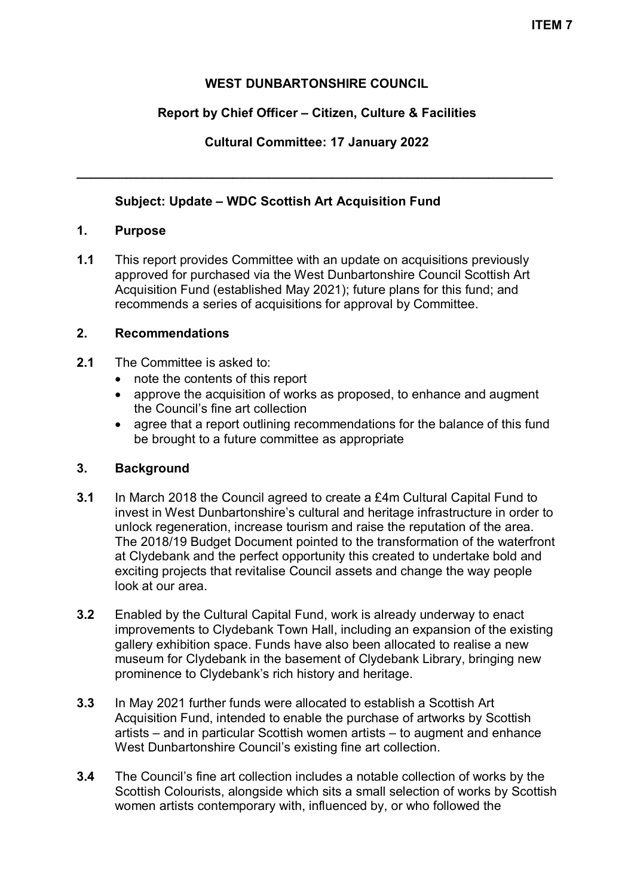## **WEST DUNBARTONSHIRE COUNCIL**

## **Report by Chief Officer – Citizen, Culture & Facilities**

**Cultural Committee: 17 January 2022**

**\_\_\_\_\_\_\_\_\_\_\_\_\_\_\_\_\_\_\_\_\_\_\_\_\_\_\_\_\_\_\_\_\_\_\_\_\_\_\_\_\_\_\_\_\_\_\_\_\_\_\_\_\_\_\_\_\_\_\_\_\_\_\_\_\_\_\_**

## **Subject: Update – WDC Scottish Art Acquisition Fund**

### **1. Purpose**

**1.1** This report provides Committee with an update on acquisitions previously approved for purchased via the West Dunbartonshire Council Scottish Art Acquisition Fund (established May 2021); future plans for this fund; and recommends a series of acquisitions for approval by Committee.

## **2. Recommendations**

- **2.1** The Committee is asked to:
	- note the contents of this report
	- approve the acquisition of works as proposed, to enhance and augment the Council's fine art collection
	- agree that a report outlining recommendations for the balance of this fund be brought to a future committee as appropriate

## **3. Background**

- **3.1** In March 2018 the Council agreed to create a £4m Cultural Capital Fund to invest in West Dunbartonshire's cultural and heritage infrastructure in order to unlock regeneration, increase tourism and raise the reputation of the area. The 2018/19 Budget Document pointed to the transformation of the waterfront at Clydebank and the perfect opportunity this created to undertake bold and exciting projects that revitalise Council assets and change the way people look at our area.
- **3.2** Enabled by the Cultural Capital Fund, work is already underway to enact improvements to Clydebank Town Hall, including an expansion of the existing gallery exhibition space. Funds have also been allocated to realise a new museum for Clydebank in the basement of Clydebank Library, bringing new prominence to Clydebank's rich history and heritage.
- **3.3** In May 2021 further funds were allocated to establish a Scottish Art Acquisition Fund, intended to enable the purchase of artworks by Scottish artists – and in particular Scottish women artists – to augment and enhance West Dunbartonshire Council's existing fine art collection.
- **3.4** The Council's fine art collection includes a notable collection of works by the Scottish Colourists, alongside which sits a small selection of works by Scottish women artists contemporary with, influenced by, or who followed the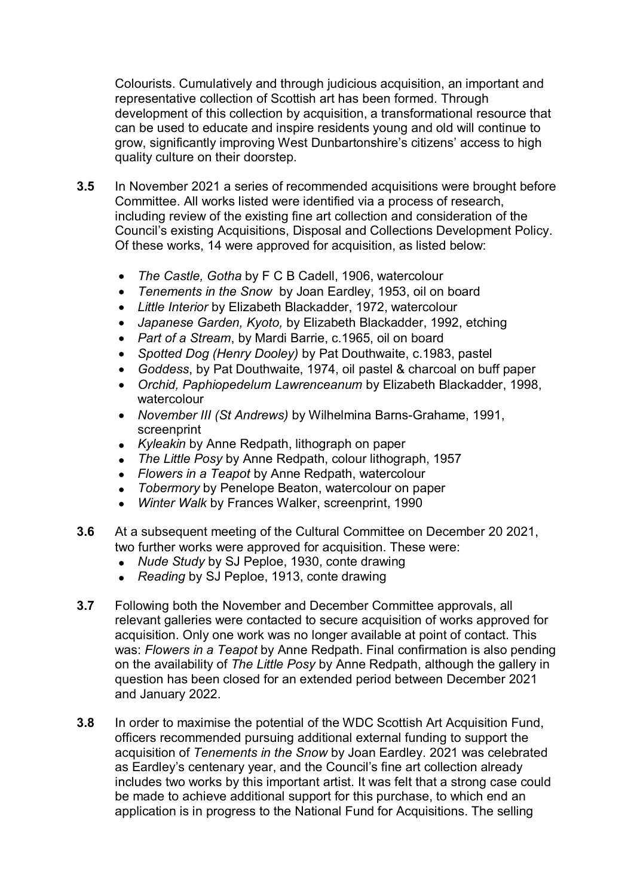Colourists. Cumulatively and through judicious acquisition, an important and representative collection of Scottish art has been formed. Through development of this collection by acquisition, a transformational resource that can be used to educate and inspire residents young and old will continue to grow, significantly improving West Dunbartonshire's citizens' access to high quality culture on their doorstep.

- **3.5** In November 2021 a series of recommended acquisitions were brought before Committee. All works listed were identified via a process of research, including review of the existing fine art collection and consideration of the Council's existing Acquisitions, Disposal and Collections Development Policy. Of these works, 14 were approved for acquisition, as listed below:
	- *The Castle, Gotha* by F C B Cadell, 1906, watercolour
	- *Tenements in the Snow* by Joan Eardley, 1953, oil on board
	- *Little Interior* by Elizabeth Blackadder, 1972, watercolour
	- *Japanese Garden, Kyoto,* by Elizabeth Blackadder, 1992, etching
	- *Part of a Stream*, by Mardi Barrie, c.1965, oil on board
	- *Spotted Dog (Henry Dooley)* by Pat Douthwaite, c.1983, pastel
	- *Goddess*, by Pat Douthwaite, 1974, oil pastel & charcoal on buff paper
	- *Orchid, Paphiopedelum Lawrenceanum* by Elizabeth Blackadder, 1998, watercolour
	- *November III (St Andrews)* by Wilhelmina Barns-Grahame, 1991, screenprint
	- *Kyleakin* by Anne Redpath, lithograph on paper
	- *The Little Posy* by Anne Redpath, colour lithograph, 1957
	- *Flowers in a Teapot* by Anne Redpath, watercolour
	- *Tobermory* by Penelope Beaton, watercolour on paper
	- *Winter Walk* by Frances Walker, screenprint, 1990
- **3.6** At a subsequent meeting of the Cultural Committee on December 20 2021, two further works were approved for acquisition. These were:
	- *Nude Study* by SJ Peploe, 1930, conte drawing
	- *Reading* by SJ Peploe, 1913, conte drawing
- **3.7** Following both the November and December Committee approvals, all relevant galleries were contacted to secure acquisition of works approved for acquisition. Only one work was no longer available at point of contact. This was: *Flowers in a Teapot* by Anne Redpath. Final confirmation is also pending on the availability of *The Little Posy* by Anne Redpath, although the gallery in question has been closed for an extended period between December 2021 and January 2022.
- **3.8** In order to maximise the potential of the WDC Scottish Art Acquisition Fund, officers recommended pursuing additional external funding to support the acquisition of *Tenements in the Snow* by Joan Eardley. 2021 was celebrated as Eardley's centenary year, and the Council's fine art collection already includes two works by this important artist. It was felt that a strong case could be made to achieve additional support for this purchase, to which end an application is in progress to the National Fund for Acquisitions. The selling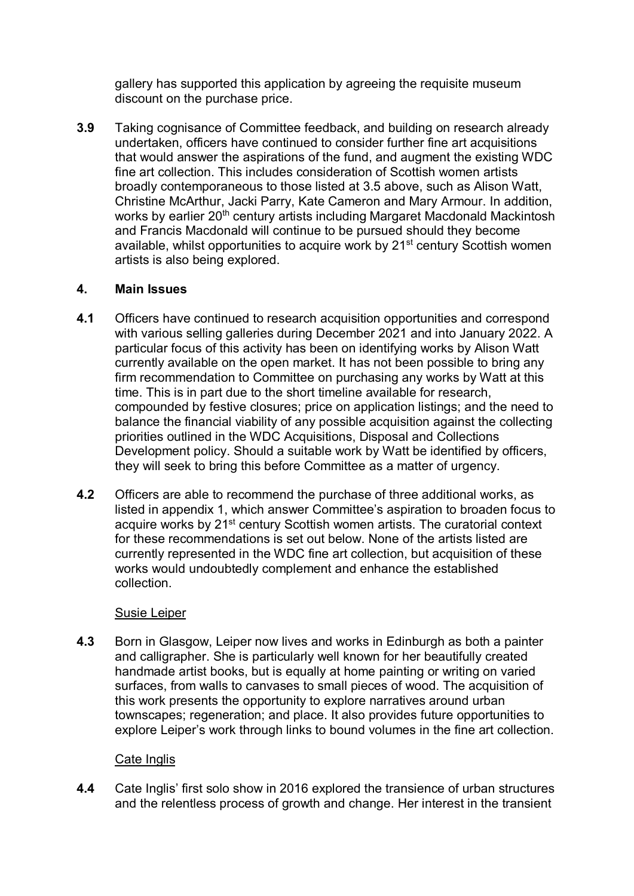gallery has supported this application by agreeing the requisite museum discount on the purchase price.

**3.9** Taking cognisance of Committee feedback, and building on research already undertaken, officers have continued to consider further fine art acquisitions that would answer the aspirations of the fund, and augment the existing WDC fine art collection. This includes consideration of Scottish women artists broadly contemporaneous to those listed at 3.5 above, such as Alison Watt, Christine McArthur, Jacki Parry, Kate Cameron and Mary Armour. In addition, works by earlier 20<sup>th</sup> century artists including Margaret Macdonald Mackintosh and Francis Macdonald will continue to be pursued should they become available, whilst opportunities to acquire work by 21<sup>st</sup> century Scottish women artists is also being explored.

## **4. Main Issues**

- **4.1** Officers have continued to research acquisition opportunities and correspond with various selling galleries during December 2021 and into January 2022. A particular focus of this activity has been on identifying works by Alison Watt currently available on the open market. It has not been possible to bring any firm recommendation to Committee on purchasing any works by Watt at this time. This is in part due to the short timeline available for research, compounded by festive closures; price on application listings; and the need to balance the financial viability of any possible acquisition against the collecting priorities outlined in the WDC Acquisitions, Disposal and Collections Development policy. Should a suitable work by Watt be identified by officers, they will seek to bring this before Committee as a matter of urgency.
- **4.2** Officers are able to recommend the purchase of three additional works, as listed in appendix 1, which answer Committee's aspiration to broaden focus to acquire works by 21st century Scottish women artists. The curatorial context for these recommendations is set out below. None of the artists listed are currently represented in the WDC fine art collection, but acquisition of these works would undoubtedly complement and enhance the established collection.

# Susie Leiper

**4.3** Born in Glasgow, Leiper now lives and works in Edinburgh as both a painter and calligrapher. She is particularly well known for her beautifully created handmade artist books, but is equally at home painting or writing on varied surfaces, from walls to canvases to small pieces of wood. The acquisition of this work presents the opportunity to explore narratives around urban townscapes; regeneration; and place. It also provides future opportunities to explore Leiper's work through links to bound volumes in the fine art collection.

# Cate Inglis

**4.4** Cate Inglis' first solo show in 2016 explored the transience of urban structures and the relentless process of growth and change. Her interest in the transient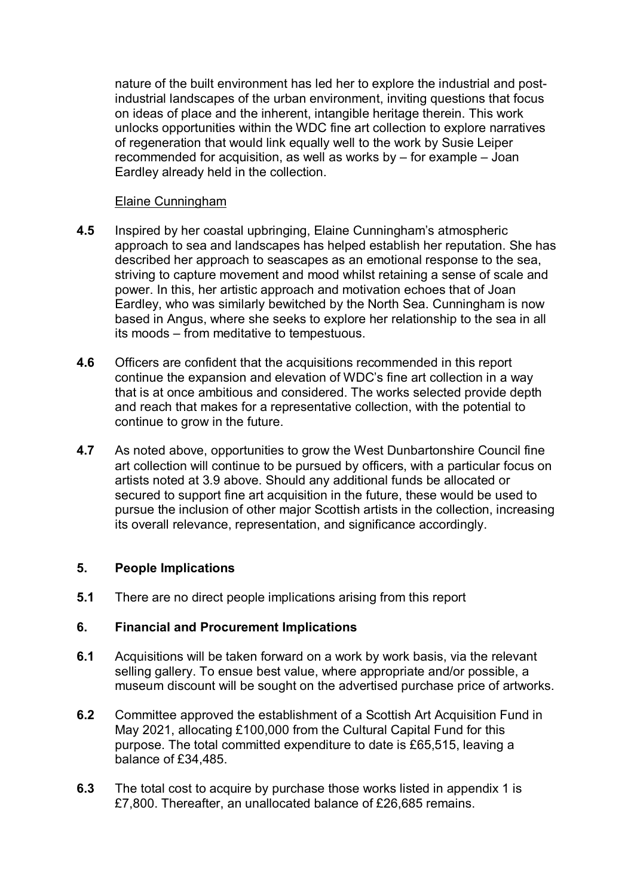nature of the built environment has led her to explore the industrial and postindustrial landscapes of the urban environment, inviting questions that focus on ideas of place and the inherent, intangible heritage therein. This work unlocks opportunities within the WDC fine art collection to explore narratives of regeneration that would link equally well to the work by Susie Leiper recommended for acquisition, as well as works by – for example – Joan Eardley already held in the collection.

#### Elaine Cunningham

- **4.5** Inspired by her coastal upbringing, Elaine Cunningham's atmospheric approach to sea and landscapes has helped establish her reputation. She has described her approach to seascapes as an emotional response to the sea, striving to capture movement and mood whilst retaining a sense of scale and power. In this, her artistic approach and motivation echoes that of Joan Eardley, who was similarly bewitched by the North Sea. Cunningham is now based in Angus, where she seeks to explore her relationship to the sea in all its moods – from meditative to tempestuous.
- **4.6** Officers are confident that the acquisitions recommended in this report continue the expansion and elevation of WDC's fine art collection in a way that is at once ambitious and considered. The works selected provide depth and reach that makes for a representative collection, with the potential to continue to grow in the future.
- **4.7** As noted above, opportunities to grow the West Dunbartonshire Council fine art collection will continue to be pursued by officers, with a particular focus on artists noted at 3.9 above. Should any additional funds be allocated or secured to support fine art acquisition in the future, these would be used to pursue the inclusion of other major Scottish artists in the collection, increasing its overall relevance, representation, and significance accordingly.

#### **5. People Implications**

**5.1** There are no direct people implications arising from this report

#### **6. Financial and Procurement Implications**

- **6.1** Acquisitions will be taken forward on a work by work basis, via the relevant selling gallery. To ensue best value, where appropriate and/or possible, a museum discount will be sought on the advertised purchase price of artworks.
- **6.2** Committee approved the establishment of a Scottish Art Acquisition Fund in May 2021, allocating £100,000 from the Cultural Capital Fund for this purpose. The total committed expenditure to date is £65,515, leaving a balance of £34,485.
- **6.3** The total cost to acquire by purchase those works listed in appendix 1 is £7,800. Thereafter, an unallocated balance of £26,685 remains.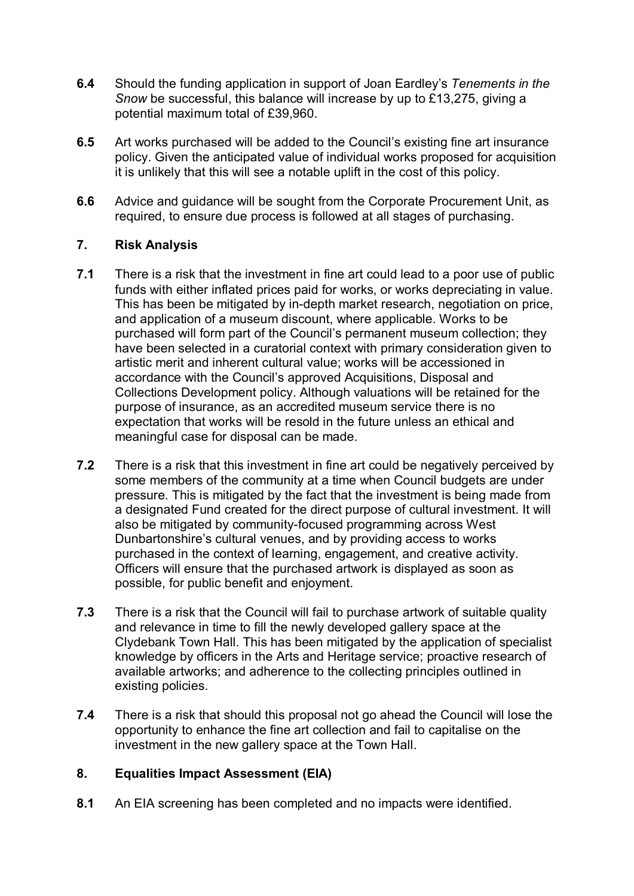- **6.4** Should the funding application in support of Joan Eardley's *Tenements in the Snow* be successful, this balance will increase by up to £13,275, giving a potential maximum total of £39,960.
- **6.5** Art works purchased will be added to the Council's existing fine art insurance policy. Given the anticipated value of individual works proposed for acquisition it is unlikely that this will see a notable uplift in the cost of this policy.
- **6.6** Advice and guidance will be sought from the Corporate Procurement Unit, as required, to ensure due process is followed at all stages of purchasing.

## **7. Risk Analysis**

- **7.1** There is a risk that the investment in fine art could lead to a poor use of public funds with either inflated prices paid for works, or works depreciating in value. This has been be mitigated by in-depth market research, negotiation on price, and application of a museum discount, where applicable. Works to be purchased will form part of the Council's permanent museum collection; they have been selected in a curatorial context with primary consideration given to artistic merit and inherent cultural value; works will be accessioned in accordance with the Council's approved Acquisitions, Disposal and Collections Development policy. Although valuations will be retained for the purpose of insurance, as an accredited museum service there is no expectation that works will be resold in the future unless an ethical and meaningful case for disposal can be made.
- **7.2** There is a risk that this investment in fine art could be negatively perceived by some members of the community at a time when Council budgets are under pressure. This is mitigated by the fact that the investment is being made from a designated Fund created for the direct purpose of cultural investment. It will also be mitigated by community-focused programming across West Dunbartonshire's cultural venues, and by providing access to works purchased in the context of learning, engagement, and creative activity. Officers will ensure that the purchased artwork is displayed as soon as possible, for public benefit and enjoyment.
- **7.3** There is a risk that the Council will fail to purchase artwork of suitable quality and relevance in time to fill the newly developed gallery space at the Clydebank Town Hall. This has been mitigated by the application of specialist knowledge by officers in the Arts and Heritage service; proactive research of available artworks; and adherence to the collecting principles outlined in existing policies.
- **7.4** There is a risk that should this proposal not go ahead the Council will lose the opportunity to enhance the fine art collection and fail to capitalise on the investment in the new gallery space at the Town Hall.

## **8. Equalities Impact Assessment (EIA)**

**8.1** An EIA screening has been completed and no impacts were identified.